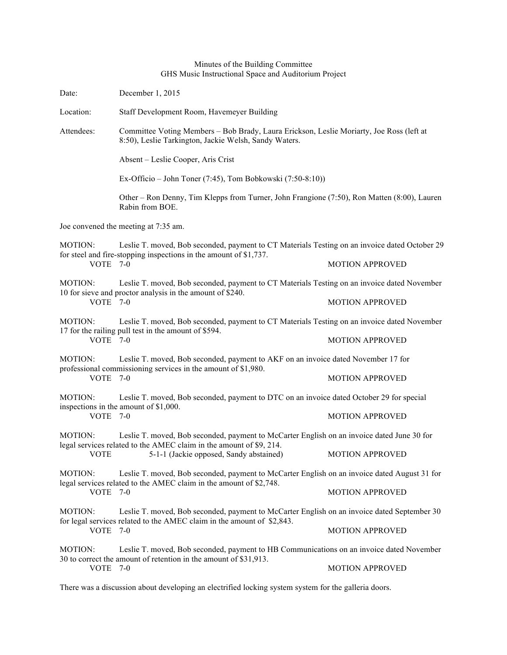## Minutes of the Building Committee GHS Music Instructional Space and Auditorium Project

| Date:                                | December 1, 2015                                                                                                                                                                                             |                        |  |  |
|--------------------------------------|--------------------------------------------------------------------------------------------------------------------------------------------------------------------------------------------------------------|------------------------|--|--|
| Location:                            | Staff Development Room, Havemeyer Building                                                                                                                                                                   |                        |  |  |
| Attendees:                           | Committee Voting Members - Bob Brady, Laura Erickson, Leslie Moriarty, Joe Ross (left at<br>8:50), Leslie Tarkington, Jackie Welsh, Sandy Waters.                                                            |                        |  |  |
|                                      | Absent – Leslie Cooper, Aris Crist                                                                                                                                                                           |                        |  |  |
|                                      | Ex-Officio – John Toner (7:45), Tom Bobkowski (7:50-8:10))                                                                                                                                                   |                        |  |  |
|                                      | Other – Ron Denny, Tim Klepps from Turner, John Frangione (7:50), Ron Matten (8:00), Lauren<br>Rabin from BOE.                                                                                               |                        |  |  |
| Joe convened the meeting at 7:35 am. |                                                                                                                                                                                                              |                        |  |  |
| MOTION:                              | Leslie T. moved, Bob seconded, payment to CT Materials Testing on an invoice dated October 29                                                                                                                |                        |  |  |
| VOTE 7-0                             | for steel and fire-stopping inspections in the amount of \$1,737.                                                                                                                                            | <b>MOTION APPROVED</b> |  |  |
| MOTION:                              | Leslie T. moved, Bob seconded, payment to CT Materials Testing on an invoice dated November<br>10 for sieve and proctor analysis in the amount of \$240.                                                     |                        |  |  |
| VOTE 7-0                             |                                                                                                                                                                                                              | <b>MOTION APPROVED</b> |  |  |
| MOTION:                              | Leslie T. moved, Bob seconded, payment to CT Materials Testing on an invoice dated November<br>17 for the railing pull test in the amount of \$594.                                                          |                        |  |  |
| VOTE 7-0                             |                                                                                                                                                                                                              | <b>MOTION APPROVED</b> |  |  |
| <b>MOTION:</b>                       | Leslie T. moved, Bob seconded, payment to AKF on an invoice dated November 17 for                                                                                                                            |                        |  |  |
| <b>VOTE</b>                          | professional commissioning services in the amount of \$1,980.<br>$7-0$                                                                                                                                       | <b>MOTION APPROVED</b> |  |  |
| <b>MOTION:</b><br>VOTE 7-0           | Leslie T. moved, Bob seconded, payment to DTC on an invoice dated October 29 for special<br>inspections in the amount of \$1,000.                                                                            |                        |  |  |
|                                      |                                                                                                                                                                                                              | <b>MOTION APPROVED</b> |  |  |
| MOTION:                              | Leslie T. moved, Bob seconded, payment to McCarter English on an invoice dated June 30 for<br>legal services related to the AMEC claim in the amount of \$9, 214.<br>5-1-1 (Jackie opposed, Sandy abstained) |                        |  |  |
| <b>VOTE</b>                          |                                                                                                                                                                                                              | <b>MOTION APPROVED</b> |  |  |
| <b>MOTION:</b>                       | Leslie T. moved, Bob seconded, payment to McCarter English on an invoice dated August 31 for<br>legal services related to the AMEC claim in the amount of \$2,748.                                           |                        |  |  |
| VOTE 7-0                             |                                                                                                                                                                                                              | <b>MOTION APPROVED</b> |  |  |
| <b>MOTION:</b><br>VOTE               | Leslie T. moved, Bob seconded, payment to McCarter English on an invoice dated September 30<br>for legal services related to the AMEC claim in the amount of \$2,843.<br>$7-0$                               |                        |  |  |
|                                      |                                                                                                                                                                                                              | <b>MOTION APPROVED</b> |  |  |
| MOTION:                              | Leslie T. moved, Bob seconded, payment to HB Communications on an invoice dated November<br>30 to correct the amount of retention in the amount of \$31,913.                                                 |                        |  |  |
| VOTE 7-0                             |                                                                                                                                                                                                              | <b>MOTION APPROVED</b> |  |  |
|                                      |                                                                                                                                                                                                              |                        |  |  |

There was a discussion about developing an electrified locking system system for the galleria doors.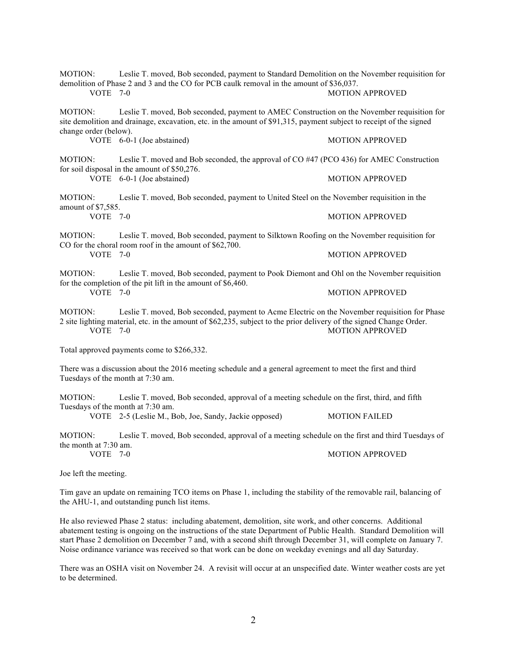| <b>MOTION:</b><br>Leslie T. moved, Bob seconded, payment to Standard Demolition on the November requisition for<br>demolition of Phase 2 and 3 and the CO for PCB caulk removal in the amount of \$36,037.<br>$VOTE$ 7-0<br><b>MOTION APPROVED</b> |                                                                                                                                                                                                                      |                        |  |
|----------------------------------------------------------------------------------------------------------------------------------------------------------------------------------------------------------------------------------------------------|----------------------------------------------------------------------------------------------------------------------------------------------------------------------------------------------------------------------|------------------------|--|
| MOTION:<br>change order (below).                                                                                                                                                                                                                   | Leslie T. moved, Bob seconded, payment to AMEC Construction on the November requisition for<br>site demolition and drainage, excavation, etc. in the amount of \$91,315, payment subject to receipt of the signed    |                        |  |
|                                                                                                                                                                                                                                                    | VOTE 6-0-1 (Joe abstained)                                                                                                                                                                                           | <b>MOTION APPROVED</b> |  |
| <b>MOTION:</b>                                                                                                                                                                                                                                     | Leslie T. moved and Bob seconded, the approval of CO #47 (PCO 436) for AMEC Construction                                                                                                                             |                        |  |
|                                                                                                                                                                                                                                                    | for soil disposal in the amount of \$50,276.<br>VOTE 6-0-1 (Joe abstained)                                                                                                                                           | <b>MOTION APPROVED</b> |  |
| <b>MOTION:</b><br>amount of \$7,585.                                                                                                                                                                                                               | Leslie T. moved, Bob seconded, payment to United Steel on the November requisition in the                                                                                                                            |                        |  |
| VOTE $7-0$                                                                                                                                                                                                                                         |                                                                                                                                                                                                                      | <b>MOTION APPROVED</b> |  |
| <b>MOTION:</b>                                                                                                                                                                                                                                     | Leslie T. moved, Bob seconded, payment to Silktown Roofing on the November requisition for<br>CO for the choral room roof in the amount of \$62,700.                                                                 |                        |  |
| VOTE 7-0                                                                                                                                                                                                                                           |                                                                                                                                                                                                                      | <b>MOTION APPROVED</b> |  |
| MOTION:                                                                                                                                                                                                                                            | Leslie T. moved, Bob seconded, payment to Pook Diemont and Ohl on the November requisition<br>for the completion of the pit lift in the amount of \$6,460.                                                           |                        |  |
| VOTE $7-0$                                                                                                                                                                                                                                         |                                                                                                                                                                                                                      | <b>MOTION APPROVED</b> |  |
| <b>MOTION:</b><br>VOTE 7-0                                                                                                                                                                                                                         | Leslie T. moved, Bob seconded, payment to Acme Electric on the November requisition for Phase<br>2 site lighting material, etc. in the amount of \$62,235, subject to the prior delivery of the signed Change Order. | <b>MOTION APPROVED</b> |  |
| Total approved payments come to \$266,332.                                                                                                                                                                                                         |                                                                                                                                                                                                                      |                        |  |
| There was a discussion about the 2016 meeting schedule and a general agreement to meet the first and third<br>Tuesdays of the month at 7:30 am.                                                                                                    |                                                                                                                                                                                                                      |                        |  |
| <b>MOTION:</b><br>Tuesdays of the month at 7:30 am.                                                                                                                                                                                                | Leslie T. moved, Bob seconded, approval of a meeting schedule on the first, third, and fifth                                                                                                                         |                        |  |
|                                                                                                                                                                                                                                                    | VOTE 2-5 (Leslie M., Bob, Joe, Sandy, Jackie opposed)                                                                                                                                                                | <b>MOTION FAILED</b>   |  |
| <b>MOTION:</b><br>the month at 7:30 am.                                                                                                                                                                                                            | Leslie T. moved, Bob seconded, approval of a meeting schedule on the first and third Tuesdays of                                                                                                                     |                        |  |
| VOTE 7-0                                                                                                                                                                                                                                           |                                                                                                                                                                                                                      | <b>MOTION APPROVED</b> |  |
| Joe left the meeting.                                                                                                                                                                                                                              |                                                                                                                                                                                                                      |                        |  |

Tim gave an update on remaining TCO items on Phase 1, including the stability of the removable rail, balancing of the AHU-1, and outstanding punch list items.

He also reviewed Phase 2 status: including abatement, demolition, site work, and other concerns. Additional abatement testing is ongoing on the instructions of the state Department of Public Health. Standard Demolition will start Phase 2 demolition on December 7 and, with a second shift through December 31, will complete on January 7. Noise ordinance variance was received so that work can be done on weekday evenings and all day Saturday.

There was an OSHA visit on November 24. A revisit will occur at an unspecified date. Winter weather costs are yet to be determined.